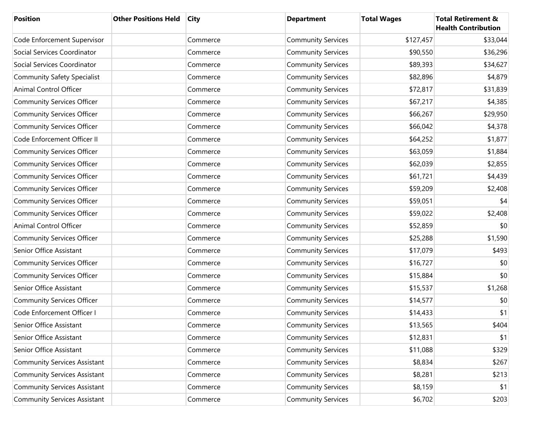| <b>Position</b>                     | <b>Other Positions Held</b> | <b>City</b> | <b>Department</b>         | <b>Total Wages</b> | <b>Total Retirement &amp;</b><br><b>Health Contribution</b> |
|-------------------------------------|-----------------------------|-------------|---------------------------|--------------------|-------------------------------------------------------------|
| Code Enforcement Supervisor         |                             | Commerce    | <b>Community Services</b> | \$127,457          | \$33,044                                                    |
| Social Services Coordinator         |                             | Commerce    | <b>Community Services</b> | \$90,550           | \$36,296                                                    |
| Social Services Coordinator         |                             | Commerce    | <b>Community Services</b> | \$89,393           | \$34,627                                                    |
| <b>Community Safety Specialist</b>  |                             | Commerce    | <b>Community Services</b> | \$82,896           | \$4,879                                                     |
| Animal Control Officer              |                             | Commerce    | <b>Community Services</b> | \$72,817           | \$31,839                                                    |
| <b>Community Services Officer</b>   |                             | Commerce    | <b>Community Services</b> | \$67,217           | \$4,385                                                     |
| <b>Community Services Officer</b>   |                             | Commerce    | <b>Community Services</b> | \$66,267           | \$29,950                                                    |
| <b>Community Services Officer</b>   |                             | Commerce    | <b>Community Services</b> | \$66,042           | \$4,378                                                     |
| Code Enforcement Officer II         |                             | Commerce    | <b>Community Services</b> | \$64,252           | \$1,877                                                     |
| <b>Community Services Officer</b>   |                             | Commerce    | <b>Community Services</b> | \$63,059           | \$1,884                                                     |
| <b>Community Services Officer</b>   |                             | Commerce    | <b>Community Services</b> | \$62,039           | \$2,855                                                     |
| <b>Community Services Officer</b>   |                             | Commerce    | <b>Community Services</b> | \$61,721           | \$4,439                                                     |
| <b>Community Services Officer</b>   |                             | Commerce    | <b>Community Services</b> | \$59,209           | \$2,408                                                     |
| <b>Community Services Officer</b>   |                             | Commerce    | <b>Community Services</b> | \$59,051           | \$4                                                         |
| <b>Community Services Officer</b>   |                             | Commerce    | <b>Community Services</b> | \$59,022           | \$2,408                                                     |
| Animal Control Officer              |                             | Commerce    | <b>Community Services</b> | \$52,859           | \$0                                                         |
| <b>Community Services Officer</b>   |                             | Commerce    | <b>Community Services</b> | \$25,288           | \$1,590                                                     |
| Senior Office Assistant             |                             | Commerce    | <b>Community Services</b> | \$17,079           | \$493                                                       |
| <b>Community Services Officer</b>   |                             | Commerce    | <b>Community Services</b> | \$16,727           | \$0                                                         |
| <b>Community Services Officer</b>   |                             | Commerce    | <b>Community Services</b> | \$15,884           | \$0                                                         |
| Senior Office Assistant             |                             | Commerce    | <b>Community Services</b> | \$15,537           | \$1,268                                                     |
| <b>Community Services Officer</b>   |                             | Commerce    | <b>Community Services</b> | \$14,577           | \$0                                                         |
| Code Enforcement Officer I          |                             | Commerce    | <b>Community Services</b> | \$14,433           | \$1                                                         |
| Senior Office Assistant             |                             | Commerce    | <b>Community Services</b> | \$13,565           | \$404                                                       |
| Senior Office Assistant             |                             | Commerce    | <b>Community Services</b> | \$12,831           | \$1                                                         |
| Senior Office Assistant             |                             | Commerce    | <b>Community Services</b> | \$11,088           | \$329                                                       |
| <b>Community Services Assistant</b> |                             | Commerce    | <b>Community Services</b> | \$8,834            | \$267                                                       |
| <b>Community Services Assistant</b> |                             | Commerce    | <b>Community Services</b> | \$8,281            | \$213                                                       |
| <b>Community Services Assistant</b> |                             | Commerce    | <b>Community Services</b> | \$8,159            | \$1                                                         |
| <b>Community Services Assistant</b> |                             | Commerce    | <b>Community Services</b> | \$6,702            | \$203                                                       |